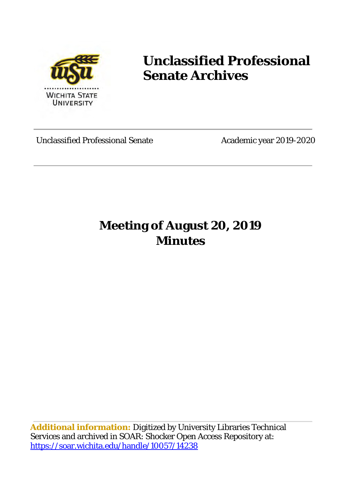

# **Unclassified Professional Senate Archives**

Unclassified Professional Senate Academic year 2019-2020

## **Meeting of August 20, 2019 Minutes**

**Additional information:** Digitized by University Libraries Technical Services and archived in SOAR: Shocker Open Access Repository at: <https://soar.wichita.edu/handle/10057/14238>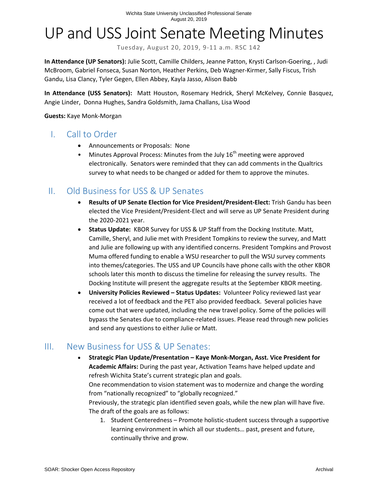# UP and USS Joint Senate Meeting Minutes

Tuesday, August 20, 2019, 9-11 a.m. RSC 142

**In Attendance (UP Senators):** Julie Scott, Camille Childers, Jeanne Patton, Krysti Carlson-Goering, , Judi McBroom, Gabriel Fonseca, Susan Norton, Heather Perkins, Deb Wagner-Kirmer, Sally Fiscus, Trish Gandu, Lisa Clancy, Tyler Gegen, Ellen Abbey, Kayla Jasso, Alison Babb

**In Attendance (USS Senators):** Matt Houston, Rosemary Hedrick, Sheryl McKelvey, Connie Basquez, Angie Linder, Donna Hughes, Sandra Goldsmith, Jama Challans, Lisa Wood

**Guests:** Kaye Monk-Morgan

#### I. Call to Order

- Announcements or Proposals: None
- Minutes Approval Process: Minutes from the July  $16<sup>th</sup>$  meeting were approved electronically. Senators were reminded that they can add comments in the Qualtrics survey to what needs to be changed or added for them to approve the minutes.

### II. Old Business for USS & UP Senates

- **Results of UP Senate Election for Vice President/President-Elect:** Trish Gandu has been elected the Vice President/President-Elect and will serve as UP Senate President during the 2020-2021 year.
- **Status Update:** KBOR Survey for USS & UP Staff from the Docking Institute. Matt, Camille, Sheryl, and Julie met with President Tompkins to review the survey, and Matt and Julie are following up with any identified concerns. President Tompkins and Provost Muma offered funding to enable a WSU researcher to pull the WSU survey comments into themes/categories. The USS and UP Councils have phone calls with the other KBOR schools later this month to discuss the timeline for releasing the survey results. The Docking Institute will present the aggregate results at the September KBOR meeting.
- **University Policies Reviewed Status Updates:** Volunteer Policy reviewed last year received a lot of feedback and the PET also provided feedback. Several policies have come out that were updated, including the new travel policy. Some of the policies will bypass the Senates due to compliance-related issues. Please read through new policies and send any questions to either Julie or Matt.

### III. New Business for USS & UP Senates:

- **Strategic Plan Update/Presentation Kaye Monk-Morgan, Asst. Vice President for Academic Affairs:** During the past year, Activation Teams have helped update and refresh Wichita State's current strategic plan and goals. One recommendation to vision statement was to modernize and change the wording from "nationally recognized" to "globally recognized." Previously, the strategic plan identified seven goals, while the new plan will have five. The draft of the goals are as follows:
	- 1. Student Centeredness Promote holistic-student success through a supportive learning environment in which all our students… past, present and future, continually thrive and grow.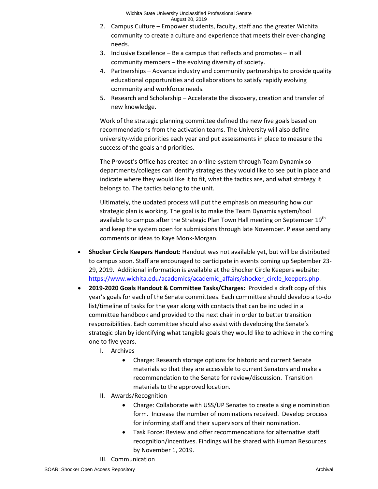- 2. Campus Culture Empower students, faculty, staff and the greater Wichita community to create a culture and experience that meets their ever-changing needs.
- 3. Inclusive Excellence Be a campus that reflects and promotes in all community members – the evolving diversity of society.
- 4. Partnerships Advance industry and community partnerships to provide quality educational opportunities and collaborations to satisfy rapidly evolving community and workforce needs.
- 5. Research and Scholarship Accelerate the discovery, creation and transfer of new knowledge.

Work of the strategic planning committee defined the new five goals based on recommendations from the activation teams. The University will also define university-wide priorities each year and put assessments in place to measure the success of the goals and priorities.

The Provost's Office has created an online-system through Team Dynamix so departments/colleges can identify strategies they would like to see put in place and indicate where they would like it to fit, what the tactics are, and what strategy it belongs to. The tactics belong to the unit.

Ultimately, the updated process will put the emphasis on measuring how our strategic plan is working. The goal is to make the Team Dynamix system/tool available to campus after the Strategic Plan Town Hall meeting on September 19<sup>th</sup> and keep the system open for submissions through late November. Please send any comments or ideas to Kaye Monk-Morgan.

- **Shocker Circle Keepers Handout:** Handout was not available yet, but will be distributed to campus soon. Staff are encouraged to participate in events coming up September 23- 29, 2019. Additional information is available at the Shocker Circle Keepers website: [https://www.wichita.edu/academics/academic\\_affairs/shocker\\_circle\\_keepers.php.](https://www.wichita.edu/academics/academic_affairs/shocker_circle_keepers.php)
- **2019-2020 Goals Handout & Committee Tasks/Charges:** Provided a draft copy of this year's goals for each of the Senate committees. Each committee should develop a to-do list/timeline of tasks for the year along with contacts that can be included in a committee handbook and provided to the next chair in order to better transition responsibilities. Each committee should also assist with developing the Senate's strategic plan by identifying what tangible goals they would like to achieve in the coming one to five years.
	- I. Archives
		- Charge: Research storage options for historic and current Senate materials so that they are accessible to current Senators and make a recommendation to the Senate for review/discussion. Transition materials to the approved location.
	- II. Awards/Recognition
		- Charge: Collaborate with USS/UP Senates to create a single nomination form. Increase the number of nominations received. Develop process for informing staff and their supervisors of their nomination.
		- Task Force: Review and offer recommendations for alternative staff recognition/incentives. Findings will be shared with Human Resources by November 1, 2019.
	- III. Communication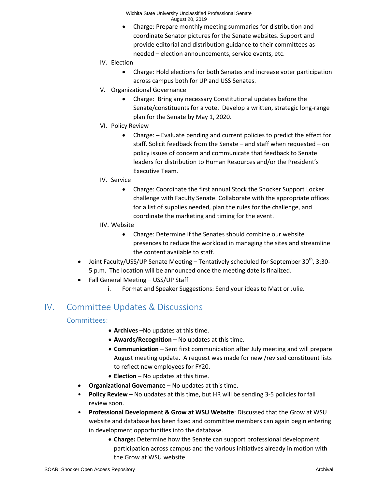Wichita State University Unclassified Professional Senate August 20, 2019

- Charge: Prepare monthly meeting summaries for distribution and coordinate Senator pictures for the Senate websites. Support and provide editorial and distribution guidance to their committees as needed – election announcements, service events, etc.
- IV. Election
	- Charge: Hold elections for both Senates and increase voter participation across campus both for UP and USS Senates.
- V. Organizational Governance
	- Charge: Bring any necessary Constitutional updates before the Senate/constituents for a vote. Develop a written, strategic long-range plan for the Senate by May 1, 2020.
- VI. Policy Review
	- Charge: Evaluate pending and current policies to predict the effect for staff. Solicit feedback from the Senate – and staff when requested – on policy issues of concern and communicate that feedback to Senate leaders for distribution to Human Resources and/or the President's Executive Team.
- IV. Service
	- Charge: Coordinate the first annual Stock the Shocker Support Locker challenge with Faculty Senate. Collaborate with the appropriate offices for a list of supplies needed, plan the rules for the challenge, and coordinate the marketing and timing for the event.
- IIV. Website
	- Charge: Determine if the Senates should combine our website presences to reduce the workload in managing the sites and streamline the content available to staff.
- Joint Faculty/USS/UP Senate Meeting Tentatively scheduled for September 30<sup>th</sup>, 3:30-5 p.m. The location will be announced once the meeting date is finalized.
- Fall General Meeting USS/UP Staff
	- i. Format and Speaker Suggestions: Send your ideas to Matt or Julie.

### IV. Committee Updates & Discussions

#### Committees:

- **Archives** –No updates at this time.
- **Awards/Recognition** No updates at this time.
- **Communication** Sent first communication after July meeting and will prepare August meeting update. A request was made for new /revised constituent lists to reflect new employees for FY20.
- **Election** No updates at this time.
- **Organizational Governance**  No updates at this time.
- **Policy Review** No updates at this time, but HR will be sending 3-5 policies for fall review soon.
- **Professional Development & Grow at WSU Website**: Discussed that the Grow at WSU website and database has been fixed and committee members can again begin entering in development opportunities into the database.
	- **Charge:** Determine how the Senate can support professional development participation across campus and the various initiatives already in motion with the Grow at WSU website.